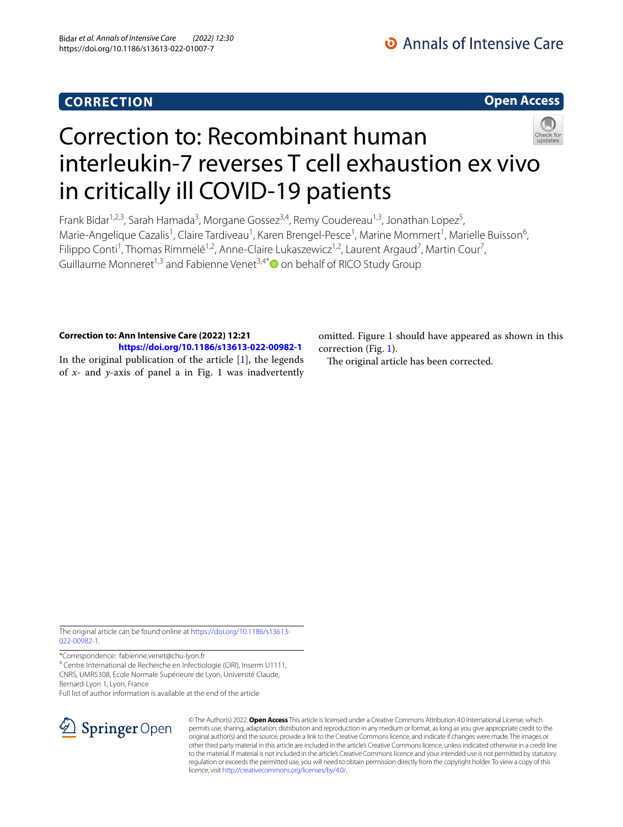## **CORRECTION**

**Open Access**

# Correction to: Recombinant human interleukin-7 reverses T cell exhaustion ex vivo in critically ill COVID-19 patients

Frank Bidar<sup>1,2,3</sup>, Sarah Hamada<sup>3</sup>, Morgane Gossez<sup>3,4</sup>, Remy Coudereau<sup>1,3</sup>, Jonathan Lopez<sup>5</sup>, Marie-Angelique Cazalis<sup>1</sup>, Claire Tardiveau<sup>1</sup>, Karen Brengel-Pesce<sup>1</sup>, Marine Mommert<sup>1</sup>, Marielle Buisson<sup>6</sup>, Filippo Conti<sup>1</sup>, Thomas Rimmelé<sup>1,2</sup>, Anne-Claire Lukaszewicz<sup>1,2</sup>, Laurent Argaud<sup>7</sup>, Martin Cour<sup>7</sup>, Guillaume Monneret<sup>1,3</sup> and Fabienne Venet<sup>3,4[\\*](http://orcid.org/0000-0003-0462-4235)</sup> $\bullet$  on behalf of RICO Study Group

## **Correction to: Ann Intensive Care (2022) 12:21**

**<https://doi.org/10.1186/s13613-022-00982-1>** In the original publication of the article  $[1]$  $[1]$ , the legends of *x*- and *y*-axis of panel a in Fig. 1 was inadvertently omitted. Figure 1 should have appeared as shown in this correction (Fig. [1\)](#page-1-0).

The original article has been corrected.

The original article can be found online at [https://doi.org/10.1186/s13613-](https://doi.org/10.1186/s13613-022-00982-1) [022-00982-1](https://doi.org/10.1186/s13613-022-00982-1).

\*Correspondence: fabienne.venet@chu-lyon.fr

<sup>4</sup> Centre International de Recherche en Infectiologie (CIRI), Inserm U1111, CNRS, UMR5308, Ecole Normale Supérieure de Lyon, Université Claude, Bernard‑Lyon 1, Lyon, France

Full list of author information is available at the end of the article



© The Author(s) 2022. **Open Access** This article is licensed under a Creative Commons Attribution 4.0 International License, which permits use, sharing, adaptation, distribution and reproduction in any medium or format, as long as you give appropriate credit to the original author(s) and the source, provide a link to the Creative Commons licence, and indicate if changes were made. The images or other third party material in this article are included in the article's Creative Commons licence, unless indicated otherwise in a credit line to the material. If material is not included in the article's Creative Commons licence and your intended use is not permitted by statutory regulation or exceeds the permitted use, you will need to obtain permission directly from the copyright holder. To view a copy of this licence, visit [http://creativecommons.org/licenses/by/4.0/.](http://creativecommons.org/licenses/by/4.0/)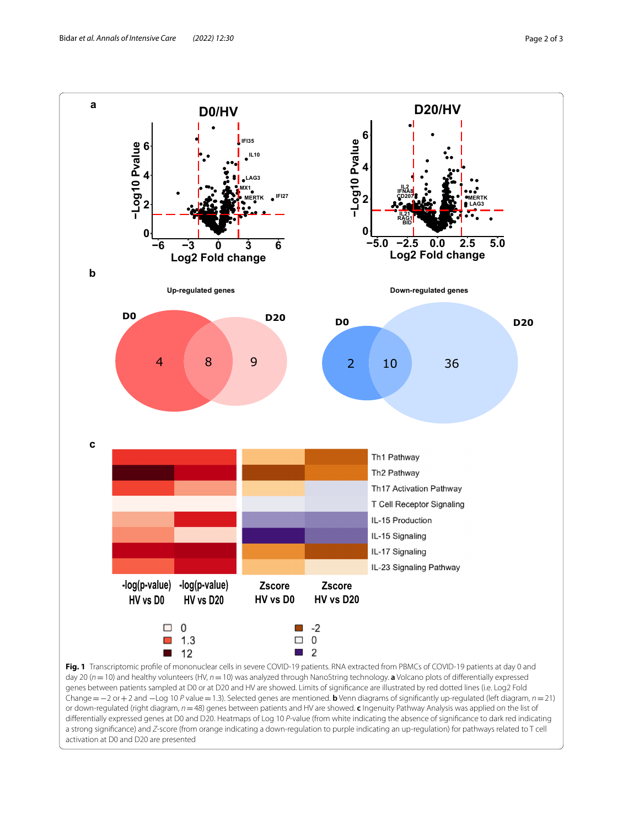

<span id="page-1-0"></span>or down-regulated (right diagram, *n*=48) genes between patients and HV are showed. **c** Ingenuity Pathway Analysis was applied on the list of diferentially expressed genes at D0 and D20. Heatmaps of Log 10 *P*-value (from white indicating the absence of signifcance to dark red indicating a strong signifcance) and *Z*-score (from orange indicating a down-regulation to purple indicating an up-regulation) for pathways related to T cell activation at D0 and D20 are presented